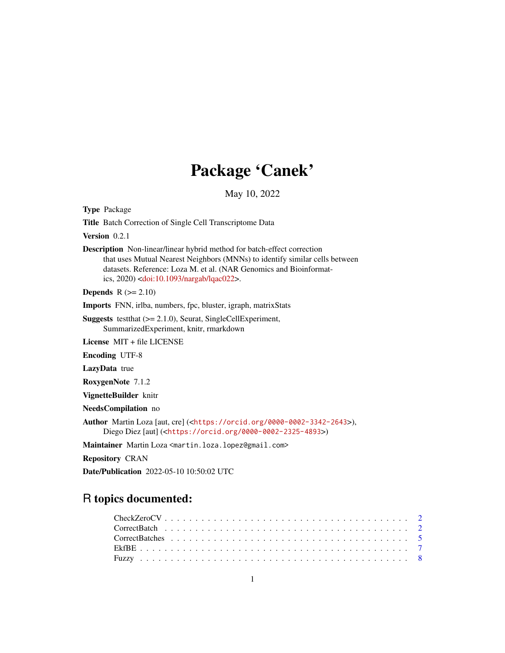## Package 'Canek'

May 10, 2022

Type Package

Title Batch Correction of Single Cell Transcriptome Data

Version 0.2.1

Description Non-linear/linear hybrid method for batch-effect correction that uses Mutual Nearest Neighbors (MNNs) to identify similar cells between datasets. Reference: Loza M. et al. (NAR Genomics and Bioinformatics, 2020) [<doi:10.1093/nargab/lqac022>](https://doi.org/10.1093/nargab/lqac022).

**Depends**  $R$  ( $>= 2.10$ )

Imports FNN, irlba, numbers, fpc, bluster, igraph, matrixStats

Suggests testthat (>= 2.1.0), Seurat, SingleCellExperiment, SummarizedExperiment, knitr, rmarkdown

License MIT + file LICENSE

Encoding UTF-8

LazyData true

RoxygenNote 7.1.2

VignetteBuilder knitr

NeedsCompilation no

Author Martin Loza [aut, cre] (<<https://orcid.org/0000-0002-3342-2643>>), Diego Diez [aut] (<<https://orcid.org/0000-0002-2325-4893>>)

Maintainer Martin Loza <martin.loza.lopez@gmail.com>

Repository CRAN

Date/Publication 2022-05-10 10:50:02 UTC

### R topics documented:

| $CheckZeroCV \ldots \ldots \ldots \ldots \ldots \ldots \ldots \ldots \ldots \ldots \ldots \ldots 2$ |  |  |  |  |  |  |  |  |  |  |  |  |  |  |  |  |  |  |  |  |
|-----------------------------------------------------------------------------------------------------|--|--|--|--|--|--|--|--|--|--|--|--|--|--|--|--|--|--|--|--|
|                                                                                                     |  |  |  |  |  |  |  |  |  |  |  |  |  |  |  |  |  |  |  |  |
|                                                                                                     |  |  |  |  |  |  |  |  |  |  |  |  |  |  |  |  |  |  |  |  |
|                                                                                                     |  |  |  |  |  |  |  |  |  |  |  |  |  |  |  |  |  |  |  |  |
|                                                                                                     |  |  |  |  |  |  |  |  |  |  |  |  |  |  |  |  |  |  |  |  |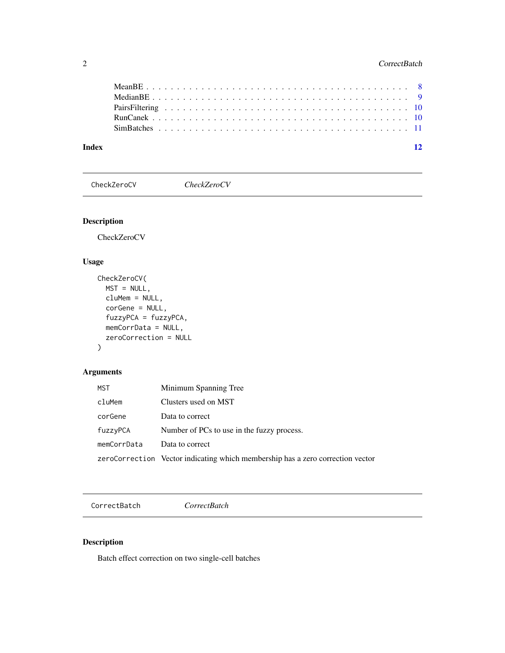<span id="page-1-0"></span>

| Index | $\overline{12}$ |
|-------|-----------------|
|       |                 |
|       |                 |
|       |                 |
|       |                 |
|       |                 |

CheckZeroCV *CheckZeroCV*

#### Description

CheckZeroCV

#### Usage

```
CheckZeroCV(
 MST = NULL,cluMem = NULL,
 corGene = NULL,
  fuzzyPCA = fuzzyPCA,
 memCorrData = NULL,
 zeroCorrection = NULL
)
```
#### Arguments

| <b>MST</b>  | Minimum Spanning Tree                                                          |
|-------------|--------------------------------------------------------------------------------|
| cluMem      | Clusters used on MST                                                           |
| corGene     | Data to correct                                                                |
| fuzzyPCA    | Number of PCs to use in the fuzzy process.                                     |
| memCorrData | Data to correct                                                                |
|             | zeroCorrection Vector indicating which membership has a zero correction vector |

CorrectBatch *CorrectBatch*

#### Description

Batch effect correction on two single-cell batches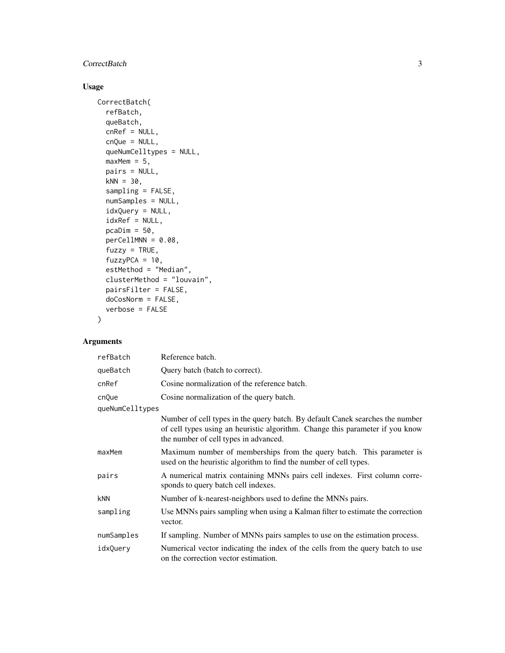#### **CorrectBatch** 3

#### Usage

```
CorrectBatch(
 refBatch,
 queBatch,
 cnRef = NULL,
  cnQue = NULL,
  queNumCelltypes = NULL,
 maxMem = 5,
 pairs = NULL,
 kNN = 30,sampling = FALSE,
 numSamples = NULL,
  idxQuery = NULL,
  idxRef = NULL,pcaDim = 50,
 perCellMNN = 0.08,
  fuzzy = TRUE,fuzzyPCA = 10,estMethod = "Median",
 clusterMethod = "louvain",
 pairsFilter = FALSE,
 doCosNorm = FALSE,
 verbose = FALSE
)
```
#### Arguments

| refBatch        | Reference batch.                                                                                                                                                                                        |  |  |  |  |  |
|-----------------|---------------------------------------------------------------------------------------------------------------------------------------------------------------------------------------------------------|--|--|--|--|--|
| queBatch        | Query batch (batch to correct).                                                                                                                                                                         |  |  |  |  |  |
| cnRef           | Cosine normalization of the reference batch.                                                                                                                                                            |  |  |  |  |  |
| cnQue           | Cosine normalization of the query batch.                                                                                                                                                                |  |  |  |  |  |
| queNumCelltypes |                                                                                                                                                                                                         |  |  |  |  |  |
|                 | Number of cell types in the query batch. By default Canek searches the number<br>of cell types using an heuristic algorithm. Change this parameter if you know<br>the number of cell types in advanced. |  |  |  |  |  |
| maxMem          | Maximum number of memberships from the query batch. This parameter is<br>used on the heuristic algorithm to find the number of cell types.                                                              |  |  |  |  |  |
| pairs           | A numerical matrix containing MNNs pairs cell indexes. First column corre-<br>sponds to query batch cell indexes.                                                                                       |  |  |  |  |  |
| kNN             | Number of k-nearest-neighbors used to define the MNNs pairs.                                                                                                                                            |  |  |  |  |  |
| sampling        | Use MNNs pairs sampling when using a Kalman filter to estimate the correction<br>vector.                                                                                                                |  |  |  |  |  |
| numSamples      | If sampling. Number of MNNs pairs samples to use on the estimation process.                                                                                                                             |  |  |  |  |  |
| idxQuery        | Numerical vector indicating the index of the cells from the query batch to use<br>on the correction vector estimation.                                                                                  |  |  |  |  |  |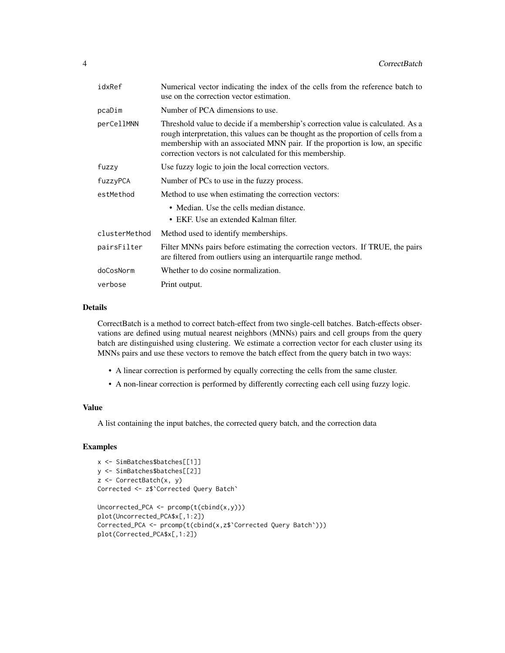| idxRef        | Numerical vector indicating the index of the cells from the reference batch to<br>use on the correction vector estimation.                                                                                                                                                                                           |
|---------------|----------------------------------------------------------------------------------------------------------------------------------------------------------------------------------------------------------------------------------------------------------------------------------------------------------------------|
| pcaDim        | Number of PCA dimensions to use.                                                                                                                                                                                                                                                                                     |
| perCellMNN    | Threshold value to decide if a membership's correction value is calculated. As a<br>rough interpretation, this values can be thought as the proportion of cells from a<br>membership with an associated MNN pair. If the proportion is low, an specific<br>correction vectors is not calculated for this membership. |
| fuzzy         | Use fuzzy logic to join the local correction vectors.                                                                                                                                                                                                                                                                |
| fuzzyPCA      | Number of PCs to use in the fuzzy process.                                                                                                                                                                                                                                                                           |
| estMethod     | Method to use when estimating the correction vectors:                                                                                                                                                                                                                                                                |
|               | • Median. Use the cells median distance.                                                                                                                                                                                                                                                                             |
|               | • EKF. Use an extended Kalman filter.                                                                                                                                                                                                                                                                                |
| clusterMethod | Method used to identify memberships.                                                                                                                                                                                                                                                                                 |
| pairsFilter   | Filter MNNs pairs before estimating the correction vectors. If TRUE, the pairs<br>are filtered from outliers using an interquartile range method.                                                                                                                                                                    |
| doCosNorm     | Whether to do cosine normalization.                                                                                                                                                                                                                                                                                  |
| verbose       | Print output.                                                                                                                                                                                                                                                                                                        |

#### Details

CorrectBatch is a method to correct batch-effect from two single-cell batches. Batch-effects observations are defined using mutual nearest neighbors (MNNs) pairs and cell groups from the query batch are distinguished using clustering. We estimate a correction vector for each cluster using its MNNs pairs and use these vectors to remove the batch effect from the query batch in two ways:

- A linear correction is performed by equally correcting the cells from the same cluster.
- A non-linear correction is performed by differently correcting each cell using fuzzy logic.

#### Value

A list containing the input batches, the corrected query batch, and the correction data

#### Examples

```
x <- SimBatches$batches[[1]]
y <- SimBatches$batches[[2]]
z <- CorrectBatch(x, y)
Corrected <- z$`Corrected Query Batch`
Uncorrected_PCA <- preomp(t(cbind(x,y)))plot(Uncorrected_PCA$x[,1:2])
Corrected_PCA <- prcomp(t(cbind(x,z$`Corrected Query Batch`)))
plot(Corrected_PCA$x[,1:2])
```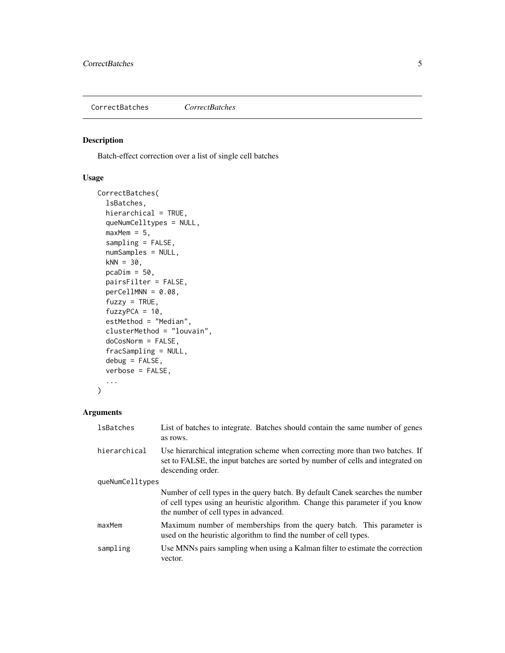<span id="page-4-0"></span>CorrectBatches *CorrectBatches*

#### Description

Batch-effect correction over a list of single cell batches

#### Usage

```
CorrectBatches(
  lsBatches,
 hierarchical = TRUE,
 queNumCelltypes = NULL,
 maxMem = 5,
 sampling = FALSE,
 numSamples = NULL,
 kNN = 30,
 pcaDim = 50,
 pairsFilter = FALSE,
 perCellMNN = 0.08,
  fuzzy = TRUE,fuzzyPCA = 10,estMethod = "Median",
 clusterMethod = "louvain",
 doCosNorm = FALSE,
 fracSampling = NULL,
 debug = FALSE,verbose = FALSE,
  ...
)
```
#### Arguments

| lsBatches       | List of batches to integrate. Batches should contain the same number of genes<br>as rows.                                                                                                               |  |  |  |
|-----------------|---------------------------------------------------------------------------------------------------------------------------------------------------------------------------------------------------------|--|--|--|
| hierarchical    | Use hierarchical integration scheme when correcting more than two batches. If<br>set to FALSE, the input batches are sorted by number of cells and integrated on<br>descending order.                   |  |  |  |
| queNumCelltypes |                                                                                                                                                                                                         |  |  |  |
|                 | Number of cell types in the query batch. By default Canek searches the number<br>of cell types using an heuristic algorithm. Change this parameter if you know<br>the number of cell types in advanced. |  |  |  |
| maxMem          | Maximum number of memberships from the query batch. This parameter is<br>used on the heuristic algorithm to find the number of cell types.                                                              |  |  |  |
| sampling        | Use MNNs pairs sampling when using a Kalman filter to estimate the correction<br>vector.                                                                                                                |  |  |  |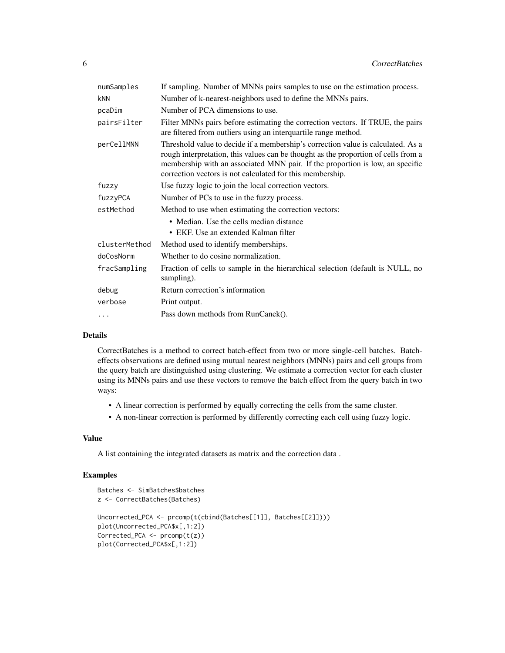| numSamples    | If sampling. Number of MNNs pairs samples to use on the estimation process.                                                                                                                                                                                                                                          |
|---------------|----------------------------------------------------------------------------------------------------------------------------------------------------------------------------------------------------------------------------------------------------------------------------------------------------------------------|
| <b>kNN</b>    | Number of k-nearest-neighbors used to define the MNNs pairs.                                                                                                                                                                                                                                                         |
| pcaDim        | Number of PCA dimensions to use.                                                                                                                                                                                                                                                                                     |
| pairsFilter   | Filter MNNs pairs before estimating the correction vectors. If TRUE, the pairs<br>are filtered from outliers using an interquartile range method.                                                                                                                                                                    |
| perCellMNN    | Threshold value to decide if a membership's correction value is calculated. As a<br>rough interpretation, this values can be thought as the proportion of cells from a<br>membership with an associated MNN pair. If the proportion is low, an specific<br>correction vectors is not calculated for this membership. |
| fuzzy         | Use fuzzy logic to join the local correction vectors.                                                                                                                                                                                                                                                                |
| fuzzyPCA      | Number of PCs to use in the fuzzy process.                                                                                                                                                                                                                                                                           |
| estMethod     | Method to use when estimating the correction vectors:                                                                                                                                                                                                                                                                |
|               | • Median. Use the cells median distance                                                                                                                                                                                                                                                                              |
|               | • EKF. Use an extended Kalman filter                                                                                                                                                                                                                                                                                 |
| clusterMethod | Method used to identify memberships.                                                                                                                                                                                                                                                                                 |
| doCosNorm     | Whether to do cosine normalization.                                                                                                                                                                                                                                                                                  |
| fracSampling  | Fraction of cells to sample in the hierarchical selection (default is NULL, no<br>sampling).                                                                                                                                                                                                                         |
| debug         | Return correction's information                                                                                                                                                                                                                                                                                      |
| verbose       | Print output.                                                                                                                                                                                                                                                                                                        |
| .             | Pass down methods from RunCanek().                                                                                                                                                                                                                                                                                   |

#### Details

CorrectBatches is a method to correct batch-effect from two or more single-cell batches. Batcheffects observations are defined using mutual nearest neighbors (MNNs) pairs and cell groups from the query batch are distinguished using clustering. We estimate a correction vector for each cluster using its MNNs pairs and use these vectors to remove the batch effect from the query batch in two ways:

- A linear correction is performed by equally correcting the cells from the same cluster.
- A non-linear correction is performed by differently correcting each cell using fuzzy logic.

#### Value

A list containing the integrated datasets as matrix and the correction data .

#### Examples

```
Batches <- SimBatches$batches
z <- CorrectBatches(Batches)
Uncorrected_PCA <- prcomp(t(cbind(Batches[[1]], Batches[[2]])))
plot(Uncorrected_PCA$x[,1:2])
Corrected_PCA <- prcomp(t(z))
plot(Corrected_PCA$x[,1:2])
```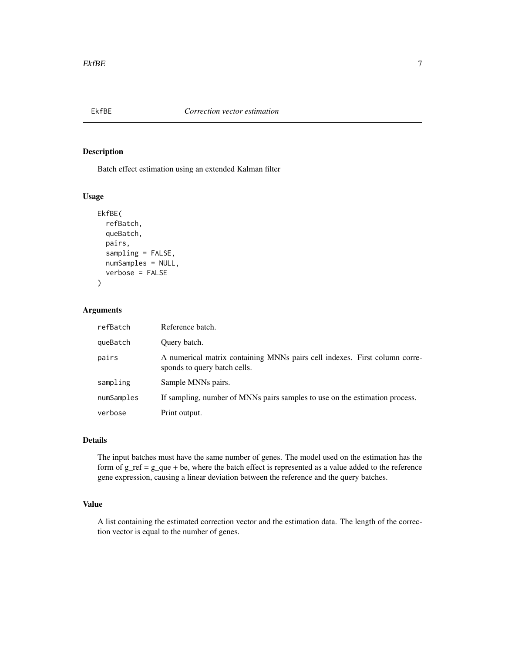<span id="page-6-0"></span>

#### Description

Batch effect estimation using an extended Kalman filter

#### Usage

```
EkfBE(
  refBatch,
  queBatch,
  pairs,
  sampling = FALSE,
  numSamples = NULL,
  verbose = FALSE
)
```
#### Arguments

| refBatch   | Reference batch.                                                                                           |
|------------|------------------------------------------------------------------------------------------------------------|
| queBatch   | Ouery batch.                                                                                               |
| pairs      | A numerical matrix containing MNNs pairs cell indexes. First column corre-<br>sponds to query batch cells. |
| sampling   | Sample MNNs pairs.                                                                                         |
| numSamples | If sampling, number of MNNs pairs samples to use on the estimation process.                                |
| verbose    | Print output.                                                                                              |

#### Details

The input batches must have the same number of genes. The model used on the estimation has the form of  $g_{\text{ref}} = g_{\text{quare}} + be$ , where the batch effect is represented as a value added to the reference gene expression, causing a linear deviation between the reference and the query batches.

#### Value

A list containing the estimated correction vector and the estimation data. The length of the correction vector is equal to the number of genes.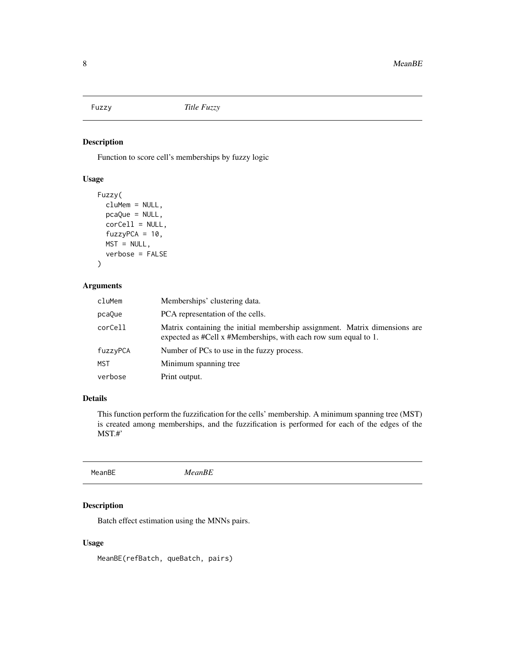<span id="page-7-0"></span>

#### Description

Function to score cell's memberships by fuzzy logic

#### Usage

```
Fuzzy(
  cluMem = NULL,
  pcaQue = NULL,
  corCell = NULL,fuzzyPCA = 10,MST = NULL,verbose = FALSE
\mathcal{L}
```
#### Arguments

| cluMem   | Memberships' clustering data.                                                                                                                 |
|----------|-----------------------------------------------------------------------------------------------------------------------------------------------|
| pcaQue   | PCA representation of the cells.                                                                                                              |
| corCell  | Matrix containing the initial membership assignment. Matrix dimensions are<br>expected as #Cell x #Memberships, with each row sum equal to 1. |
| fuzzyPCA | Number of PCs to use in the fuzzy process.                                                                                                    |
| MST      | Minimum spanning tree                                                                                                                         |
| verbose  | Print output.                                                                                                                                 |

#### Details

This function perform the fuzzification for the cells' membership. A minimum spanning tree (MST) is created among memberships, and the fuzzification is performed for each of the edges of the MST.#'

MeanBE *MeanBE*

#### Description

Batch effect estimation using the MNNs pairs.

#### Usage

MeanBE(refBatch, queBatch, pairs)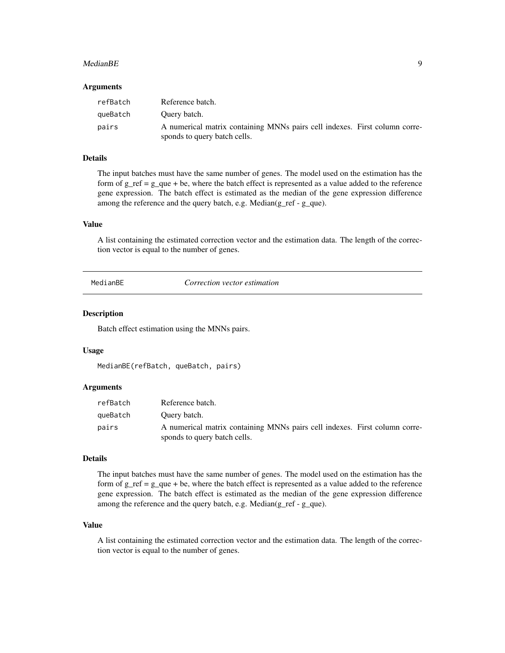#### <span id="page-8-0"></span>MedianBE 9

#### Arguments

| refBatch | Reference batch.                                                                                           |
|----------|------------------------------------------------------------------------------------------------------------|
| queBatch | Query batch.                                                                                               |
| pairs    | A numerical matrix containing MNNs pairs cell indexes. First column corre-<br>sponds to query batch cells. |

#### Details

The input batches must have the same number of genes. The model used on the estimation has the form of  $g_{\text{ref}} = g_{\text{}}$ que + be, where the batch effect is represented as a value added to the reference gene expression. The batch effect is estimated as the median of the gene expression difference among the reference and the query batch, e.g. Median(g\_ref - g\_que).

#### Value

A list containing the estimated correction vector and the estimation data. The length of the correction vector is equal to the number of genes.

MedianBE *Correction vector estimation*

#### Description

Batch effect estimation using the MNNs pairs.

#### Usage

```
MedianBE(refBatch, queBatch, pairs)
```
#### Arguments

| refBatch | Reference batch.                                                                                           |
|----------|------------------------------------------------------------------------------------------------------------|
| queBatch | Ouery batch.                                                                                               |
| pairs    | A numerical matrix containing MNNs pairs cell indexes. First column corre-<br>sponds to query batch cells. |

#### Details

The input batches must have the same number of genes. The model used on the estimation has the form of  $g_{\text{ref}} = g_{\text{que}} + be$ , where the batch effect is represented as a value added to the reference gene expression. The batch effect is estimated as the median of the gene expression difference among the reference and the query batch, e.g. Median(g\_ref - g\_que).

#### Value

A list containing the estimated correction vector and the estimation data. The length of the correction vector is equal to the number of genes.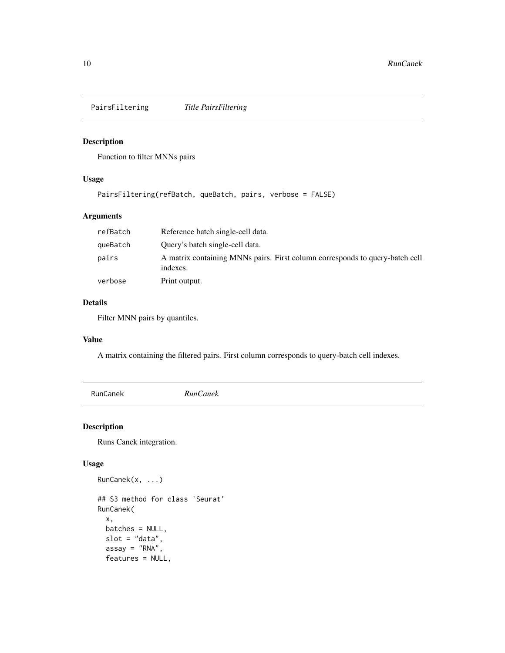<span id="page-9-0"></span>PairsFiltering *Title PairsFiltering*

#### Description

Function to filter MNNs pairs

#### Usage

```
PairsFiltering(refBatch, queBatch, pairs, verbose = FALSE)
```
#### Arguments

| refBatch | Reference batch single-cell data.                                                        |
|----------|------------------------------------------------------------------------------------------|
| queBatch | Ouery's batch single-cell data.                                                          |
| pairs    | A matrix containing MNNs pairs. First column corresponds to query-batch cell<br>indexes. |
| verbose  | Print output.                                                                            |

#### Details

Filter MNN pairs by quantiles.

#### Value

A matrix containing the filtered pairs. First column corresponds to query-batch cell indexes.

RunCanek *RunCanek*

#### Description

Runs Canek integration.

#### Usage

```
RunCanek(x, ...)
## S3 method for class 'Seurat'
RunCanek(
 x,
 batches = NULL,
 slot = "data",assay = "RNA",
  features = NULL,
```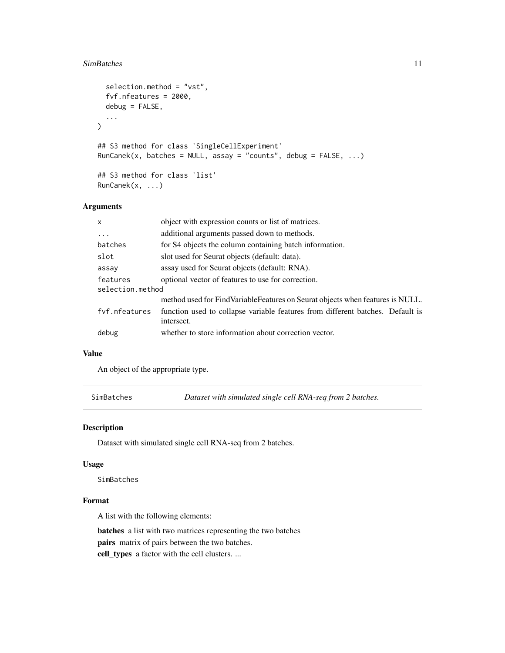#### <span id="page-10-0"></span>SimBatches 11

```
selection.method = "vst",
  fvf.nfeatures = 2000,
 debug = FALSE,...
\mathcal{L}## S3 method for class 'SingleCellExperiment'
RunCanek(x, batches = NULL, assay = "counts", debug = FALSE, ...)
## S3 method for class 'list'
RunCanek(x, ...)
```
#### Arguments

| x                | object with expression counts or list of matrices.                                           |
|------------------|----------------------------------------------------------------------------------------------|
| $\ddots$         | additional arguments passed down to methods.                                                 |
| batches          | for S4 objects the column containing batch information.                                      |
| slot             | slot used for Seurat objects (default: data).                                                |
| assay            | assay used for Seurat objects (default: RNA).                                                |
| features         | optional vector of features to use for correction.                                           |
| selection.method |                                                                                              |
|                  | method used for FindVariableFeatures on Seurat objects when features is NULL.                |
| fyf.nfeatures    | function used to collapse variable features from different batches. Default is<br>intersect. |
| debug            | whether to store information about correction vector.                                        |

#### Value

An object of the appropriate type.

SimBatches *Dataset with simulated single cell RNA-seq from 2 batches.*

#### Description

Dataset with simulated single cell RNA-seq from 2 batches.

#### Usage

SimBatches

#### Format

A list with the following elements:

batches a list with two matrices representing the two batches pairs matrix of pairs between the two batches.

cell\_types a factor with the cell clusters. ...